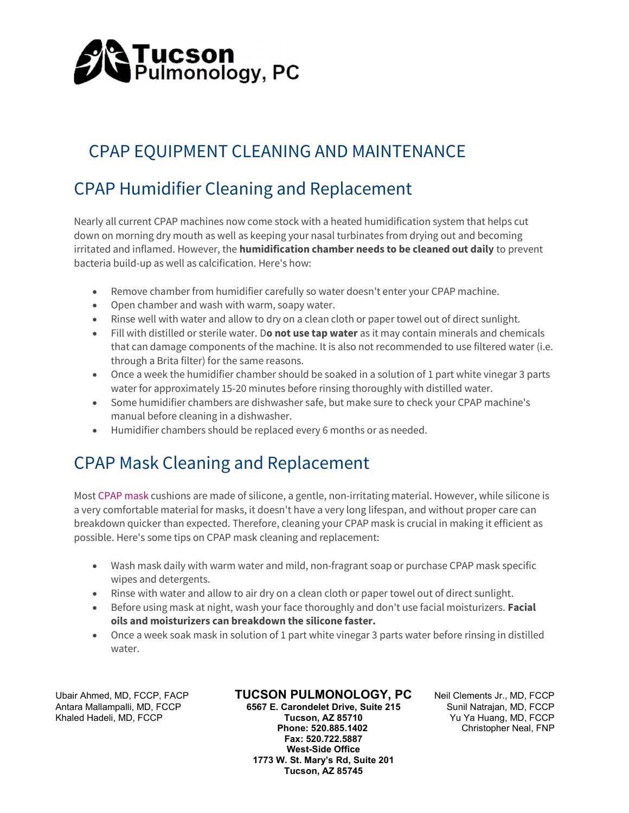

# CPAP EQUIPMENT CLEANING AND MAINTENANCE

# CPAP Humidifier Cleaning and Replacement

Nearly all current CPAP machines now come stock with a heated humidification system that helps cut down on morning dry mouth as well as keeping your nasal turbinates from drying out and becoming irritated and inflamed. However, the **humidification chamber needs to be cleaned out daily** to prevent bacteria build-up as well as calcification. Here's how:

- Remove chamber from humidifier carefully so water doesn't enter your CPAP machine.
- Open chamber and wash with warm, soapy water.
- Rinse well with water and allow to dry on a clean cloth or paper towel out of direct sunlight.
- Fill with distilled or sterile water. Do not use tap water as it may contain minerals and chemicals that can damage components of the machine. It is also not recommended to use filtered water (i.e. through a Brita filter) for the same reasons.
- Once a week the humidifier chamber should be soaked in a solution of 1 part white vinegar 3 parts water for approximately 15-20 minutes before rinsing thoroughly with distilled water.
- Some humidifier chambers are dishwasher safe, but make sure to check your CPAP machine's manual before cleaning in a dishwasher.
- Humidifier chambers should be replaced every 6 months or as needed.

### CPAP Mask Cleaning and Replacement

Most CPAP mask cushions are made of silicone, a gentle, non-irritating material. However, while silicone is a very comfortable material for masks, it doesn't have a very long lifespan, and without proper care can breakdown quicker than expected. Therefore, cleaning your CPAP mask is crucial in making it efficient as possible. Here's some tips on CPAP mask cleaning and replacement:

- Wash mask daily with warm water and mild, non-fragrant soap or purchase CPAP mask specific wipes and detergents.
- Rinse with water and allow to air dry on a clean cloth or paper towel out of direct sunlight.
- **Before using mask at night, wash your face thoroughly and don't use facial moisturizers. Facial example** oils and moisturizers can breakdown the silicone faster.
- Once a week soak mask in solution of 1 part white vinegar 3 parts water before rinsing in distilled water.

Ubair Ahmed, MD, FCCP, FACP **TUCSON PULMONOLOGY, PC** Neil Clements Jr., MD, FCCP<br>Antara Mallampalli, MD, FCCP 6567 E. Carondelet Drive, Suite 215 Sunil Natrajan, MD, FCCP

Antara Mallampalli, MD, FCCP 6567 E. Carondelet Drive, Suite 215 Khaled Hadeli, MD, FCCP 6567 E. Carondelet Drive, Suite 215 Phone: 520.885.1402 Christopher Neal, FNP Fax: 520.722.5887 West-Side Office 1773 W. St. Mary's Rd, Suite 201 Tucson, AZ 85745

Tucson, AZ 85710 Yu Ya Huang, MD, FCCP